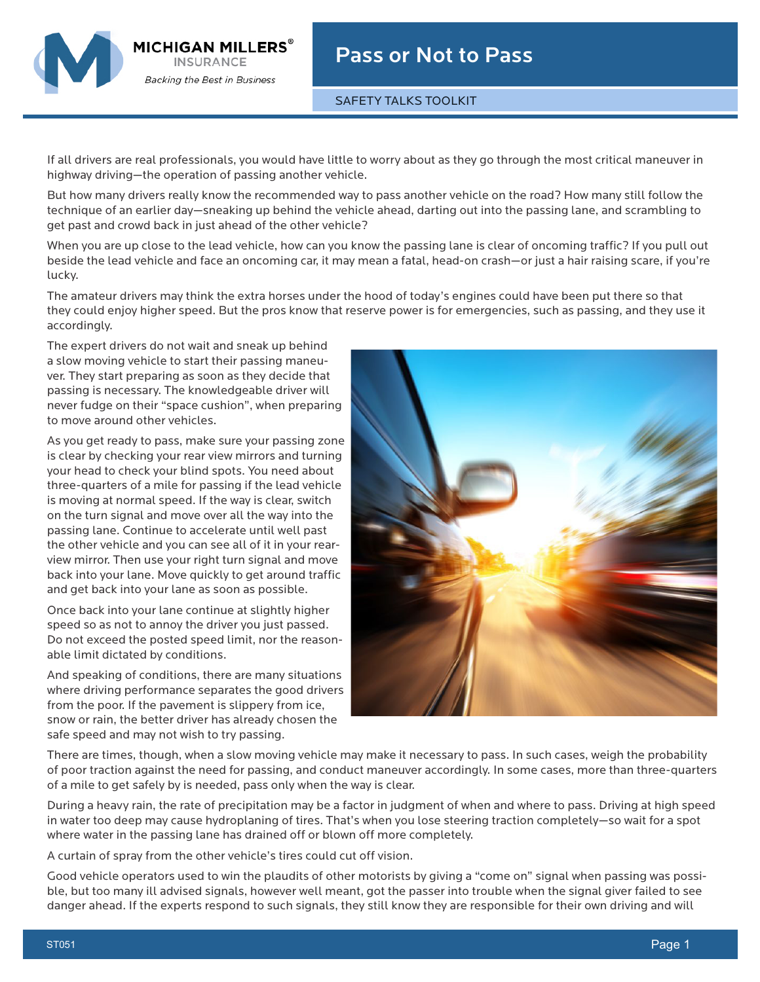

SAFETY TALKS TOOLKIT

If all drivers are real professionals, you would have little to worry about as they go through the most critical maneuver in highway driving—the operation of passing another vehicle.

But how many drivers really know the recommended way to pass another vehicle on the road? How many still follow the technique of an earlier day—sneaking up behind the vehicle ahead, darting out into the passing lane, and scrambling to get past and crowd back in just ahead of the other vehicle?

When you are up close to the lead vehicle, how can you know the passing lane is clear of oncoming traffic? If you pull out beside the lead vehicle and face an oncoming car, it may mean a fatal, head-on crash—or just a hair raising scare, if you're lucky.

The amateur drivers may think the extra horses under the hood of today's engines could have been put there so that they could enjoy higher speed. But the pros know that reserve power is for emergencies, such as passing, and they use it accordingly.

The expert drivers do not wait and sneak up behind a slow moving vehicle to start their passing maneuver. They start preparing as soon as they decide that passing is necessary. The knowledgeable driver will never fudge on their "space cushion", when preparing to move around other vehicles.

**MICHIGAN MILLERS** 

**Backing the Best in Business** 

As you get ready to pass, make sure your passing zone is clear by checking your rear view mirrors and turning your head to check your blind spots. You need about three-quarters of a mile for passing if the lead vehicle is moving at normal speed. If the way is clear, switch on the turn signal and move over all the way into the passing lane. Continue to accelerate until well past the other vehicle and you can see all of it in your rearview mirror. Then use your right turn signal and move back into your lane. Move quickly to get around traffic and get back into your lane as soon as possible.

Once back into your lane continue at slightly higher speed so as not to annoy the driver you just passed. Do not exceed the posted speed limit, nor the reasonable limit dictated by conditions.

And speaking of conditions, there are many situations where driving performance separates the good drivers from the poor. If the pavement is slippery from ice, snow or rain, the better driver has already chosen the safe speed and may not wish to try passing.



There are times, though, when a slow moving vehicle may make it necessary to pass. In such cases, weigh the probability of poor traction against the need for passing, and conduct maneuver accordingly. In some cases, more than three-quarters of a mile to get safely by is needed, pass only when the way is clear.

During a heavy rain, the rate of precipitation may be a factor in judgment of when and where to pass. Driving at high speed in water too deep may cause hydroplaning of tires. That's when you lose steering traction completely—so wait for a spot where water in the passing lane has drained off or blown off more completely.

A curtain of spray from the other vehicle's tires could cut off vision.

Good vehicle operators used to win the plaudits of other motorists by giving a "come on" signal when passing was possible, but too many ill advised signals, however well meant, got the passer into trouble when the signal giver failed to see danger ahead. If the experts respond to such signals, they still know they are responsible for their own driving and will